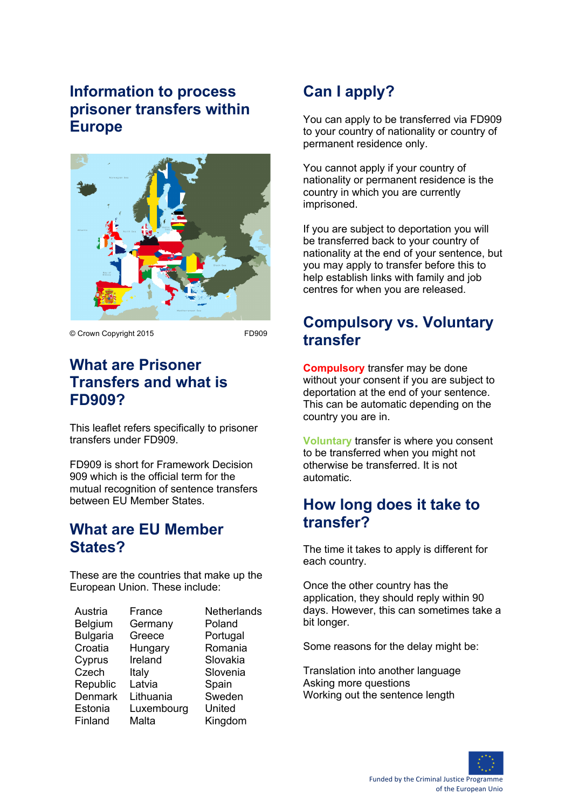## **Information to process prisoner transfers within Europe**



© Crown Copyright 2015 FD909

### **What are Prisoner Transfers and what is FD909?**

This leaflet refers specifically to prisoner transfers under FD909.

FD909 is short for Framework Decision 909 which is the official term for the mutual recognition of sentence transfers between EU Member States.

### **What are EU Member States?**

These are the countries that make up the European Union. These include:

| Austria         | France     | Netherlands |
|-----------------|------------|-------------|
| Belgium         | Germany    | Poland      |
| <b>Bulgaria</b> | Greece     | Portugal    |
| Croatia         | Hungary    | Romania     |
| Cyprus          | Ireland    | Slovakia    |
| Czech           | Italy      | Slovenia    |
| Republic        | Latvia     | Spain       |
| <b>Denmark</b>  | Lithuania  | Sweden      |
| Estonia         | Luxembourg | United      |
| Finland         | Malta      | Kingdom     |
|                 |            |             |

# **Can I apply?**

You can apply to be transferred via FD909 to your country of nationality or country of permanent residence only.

You cannot apply if your country of nationality or permanent residence is the country in which you are currently imprisoned.

If you are subject to deportation you will be transferred back to your country of nationality at the end of your sentence, but you may apply to transfer before this to help establish links with family and job centres for when you are released.

### **Compulsory vs. Voluntary transfer**

**Compulsory** transfer may be done without your consent if you are subject to deportation at the end of your sentence. This can be automatic depending on the country you are in.

**Voluntary** transfer is where you consent to be transferred when you might not otherwise be transferred. It is not automatic.

## **How long does it take to transfer?**

The time it takes to apply is different for each country.

Once the other country has the application, they should reply within 90 days. However, this can sometimes take a bit longer.

Some reasons for the delay might be:

Translation into another language Asking more questions Working out the sentence length



Funded by the Criminal Justice Programme of the European Unio